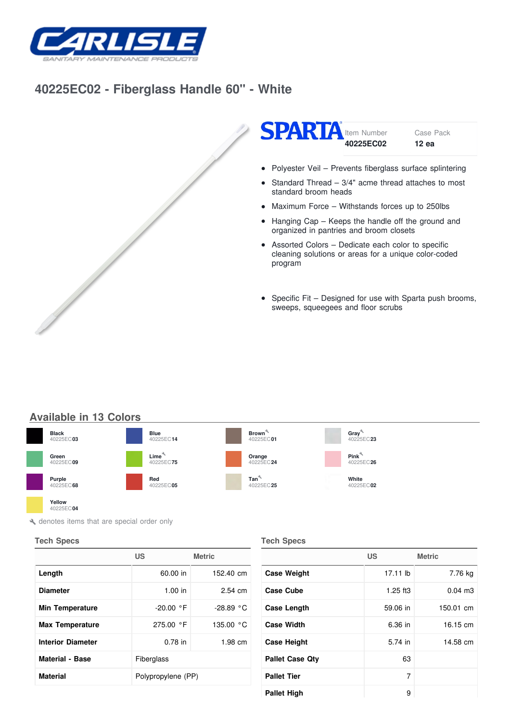

## **[40225EC02](/) - Fiberglass Handle 60" - White**





• Polyester Veil - Prevents fiberglass surface splintering

- Standard Thread 3/4" acme thread attaches to most  $\bullet$ standard broom heads
- Maximum Force Withstands forces up to 250lbs
- Hanging Cap Keeps the handle off the ground and organized in pantries and broom closets
- Assorted Colors Dedicate each color to specific cleaning solutions or areas for a unique color-coded program
- Specific Fit Designed for use with Sparta push brooms,  $\bullet$ sweeps, squeegees and floor scrubs

## **Available in 13 Colors**



 $\blacktriangle$  denotes items that are special order only

## **Tech Specs**

40225EC 40225EC **04**

|                          | US                 | <b>Metric</b> |
|--------------------------|--------------------|---------------|
| Length                   | 60.00 in           | 152.40 cm     |
| <b>Diameter</b>          | 1.00 in            | 2.54 cm       |
| <b>Min Temperature</b>   | $-20.00 °F$        | $-28.89 °C$   |
| <b>Max Temperature</b>   | 275.00 °F          | 135.00 °C     |
| <b>Interior Diameter</b> | $0.78$ in          | $1.98$ cm     |
| <b>Material - Base</b>   | Fiberglass         |               |
| <b>Material</b>          | Polypropylene (PP) |               |

## **Tech Specs**

|                        | US         | <b>Metric</b> |
|------------------------|------------|---------------|
| <b>Case Weight</b>     | 17.11 lb   | 7.76 kg       |
| <b>Case Cube</b>       | $1.25$ ft3 | $0.04$ m $3$  |
| Case Length            | 59.06 in   | 150.01 cm     |
| <b>Case Width</b>      | 6.36 in    | 16.15 cm      |
| <b>Case Height</b>     | 5.74 in    | 14.58 cm      |
| <b>Pallet Case Qtv</b> | 63         |               |
| <b>Pallet Tier</b>     | 7          |               |
| <b>Pallet High</b>     | 9          |               |